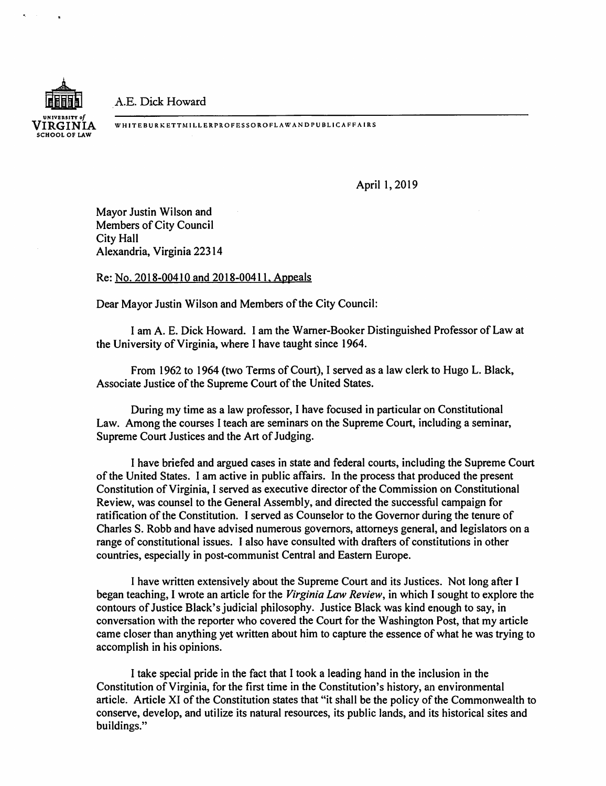A.E. Dick Howard



WH ITEBURKETTMILL ERPROFESSORO FLA WAN D PUBLICA FF A IRS

April 1, 2019

Mayor Justin Wilson and Members of City Council City Hall Alexandria, Virginia 223 14

## Re: No. 2018-00410 and 2018-00411, Appeals

Dear Mayor Justin Wilson and Members of the City Council:

I am A. E. Dick Howard. I am the Warner-Booker Distinguished Professor of Law at the University of Virginia, where I have taught since 1964.

From 1962 to 1964 (two Terms of Court), I served as a law clerk to Hugo L. Black, Associate Justice of the Supreme Court of the United States.

During my time as a law professor, I have focused in particular on Constitutional Law. Among the courses I teach are seminars on the Supreme Court, including a seminar, Supreme Court Justices and the Art of Judging.

I have briefed and argued cases in state and federal courts, including the Supreme Court of the United States. I am active in public affairs. In the process that produced the present Constitution of Virginia, I served as executive director of the Commission on Constitutional Review, was counsel to the General Assembly, and directed the successful campaign for ratification of the Constitution. I served as Counselor to the Governor during the tenure of Charles S. Robb and have advised numerous governors, attorneys general, and legislators on a range of constitutional issues. I also have consulted with drafters of constitutions in other countries, especially in post-communist Central and Eastern Europe.

I have written extensively about the Supreme Court and its Justices. Not long after I began teaching, I wrote an article for the *Virginia Law Review,* in which I sought to explore the contours of Justice Black's judicial philosophy. Justice Black was kind enough to say, in conversation with the reporter who covered the Court for the Washington Post, that my article came closer than anything yet written about him to capture the essence of what he was trying to accomplish in his opinions.

I take special pride in the fact that I took a leading hand in the inclusion in the Constitution of Virginia, for the first time in the Constitution's history, an environmental article. Article XI of the Constitution states that "it shall be the policy of the Commonwealth to conserve, develop, and utilize its natural resources, its public lands, and its historical sites and buildings."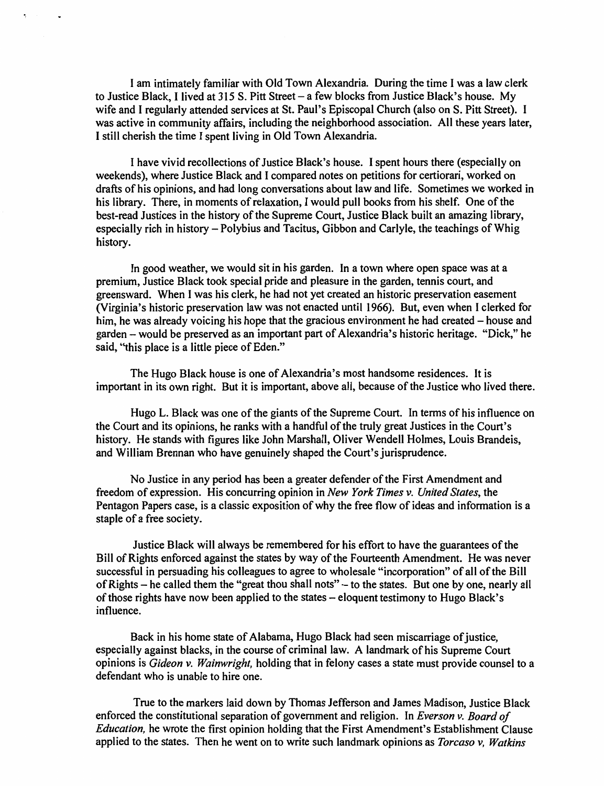I am intimately familiar with Old Town Alexandria. During the time I was a law clerk to Justice Black, I lived at 315 S. Pitt Street – a few blocks from Justice Black's house. My wife and I regularly attended services at St. Paul's Episcopal Church (also on S. Pitt Street). I was active in community affairs, including the neighborhood association. All these years later, I still cherish the time I spent living in Old Town Alexandria.

I have vivid recollections of Justice Black's house. I spent hours there (especially on weekends), where Justice Black and I compared notes on petitions for certiorari, worked on drafts of his opinions, and had long conversations about law and life. Sometimes we worked in his library. There, in moments of relaxation, I would pull books from his shelf. One of the best-read Justices in the history of the Supreme Court, Justice Black built an amazing library, especially rich in history- Polybius and Tacitus, Gibbon and Carlyle, the teachings of Whig history.

In good weather, we would sit in his garden. In a town where open space was at a premium, Justice Black took special pride and pleasure in the garden, tennis court, and greensward. When I was his clerk, he had not yet created an historic preservation easement (Virginia's historic preservation law was not enacted until 1966). But, even when I clerked for him, he was already voicing his hope that the gracious environment he had created – house and garden -would be preserved as an important part of Alexandria's historic heritage. "Dick," he said, "this place is a little piece of Eden."

The Hugo Black house is one of Alexandria's most handsome residences. It is important in its own right. But it is important, above all, because of the Justice who lived there.

Hugo L. Black was one of the giants of the Supreme Court. In terms of his influence on the Court and its opinions, he ranks with a handful of the truly great Justices in the Court's history. He stands with figures like John Marshall, Oliver Wendell Holmes, Louis Brandeis, and William Brennan who have genuinely shaped the Court's jurisprudence.

No Justice in any period has been a greater defender of the First Amendment and freedom of expression. His concurring opinion in *New York Times v. United States,* the Pentagon Papers case, is a classic exposition of why the free flow of ideas and information is a staple of a free society.

Justice Black will always be remembered for his effort to have the guarantees of the Bill of Rights enforced against the states by way of the Fourteenth Amendment. He was never successful in persuading his colleagues to agree to wholesale "incorporation" of all of the Bill of Rights - he called them the "great thou shall nots" - to the states. But one by one, nearly all of those rights have now been applied to the states – eloquent testimony to Hugo Black's influence.

Back in his home state of Alabama, Hugo Black had seen miscarriage of justice, especially against blacks, in the course of criminal law. A landmark of his Supreme Court opinions is *Gideon v. Wainwright,* holding that in felony cases a state must provide counsel to a defendant who is unable to hire one.

True to the markers laid down by Thomas Jefferson and James Madison, Justice Black enforced the constitutional separation of government and religion. In *Everson v. Board of Education,* he wrote the first opinion holding that the First Amendment's Establishment Clause applied to the states. Then he went on to write such landmark opinions as *Torcaso v, Watkins*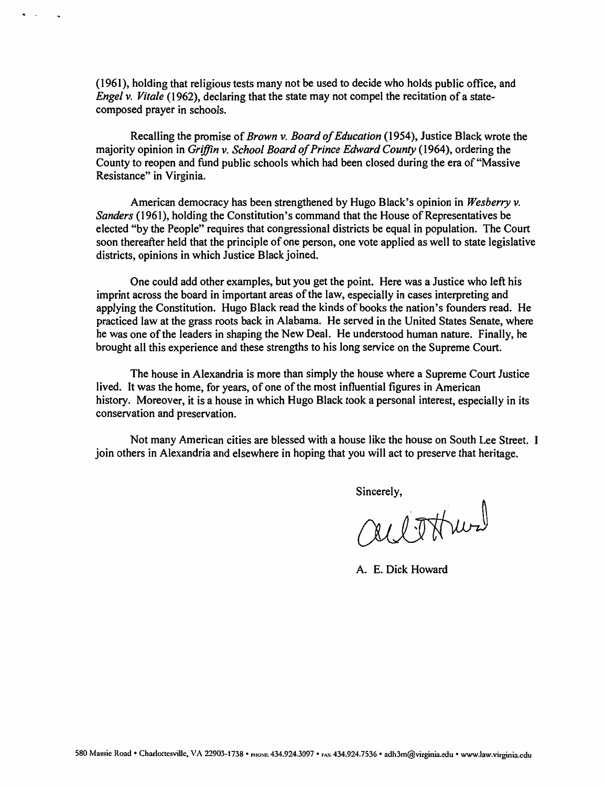(1961), holding that religious tests many not be used to decide who holds public office, and *Engel v. Vitale* (1962), declaring that the state may not compel the recitation of a statecomposed prayer in schools.

Recalling the promise of *Brown v. Board of Education* (1954), Justice Black wrote the majority opinion in *Griffin v. School Board of Prince Edward County* (1964), ordering the County to reopen and fund public schools which had been closed during the era of"Massive Resistance" in Virginia.

American democracy has been strengthened by Hugo Black's opinion in *Wesberry v. Sanders* (1961), holding the Constitution's command that the House of Representatives be elected "by the People" requires that congressional districts be equal in population. The Court soon thereafter held that the principle of one person, one vote applied as well to state legislative districts, opinions in which Justice Black joined.

One could add other examples, but you get the point. Here was a Justice who left his imprint across the board in important areas of the law, especially in cases interpreting and applying the Constitution. Hugo Black read the kinds of books the nation's founders read. He practiced law at the grass roots back in Alabama. He served in the United States Senate, where he was one of the leaders in shaping the New Deal. He understood human nature. Finally, he brought all this experience and these strengths to his long service on the Supreme Court.

The house in Alexandria is more than simply the house where a Supreme Court Justice lived. It was the home, for years, of one of the most influential figures in American history. Moreover, it is a house in which Hugo Black took a personal interest, especially in its conservation and preservation.

Not many American cities are blessed with a house like the house on South Lee Street. I join others in Alexandria and elsewhere in hoping that you will act to preserve that heritage.

Sincerely,<br>all TH wal

A. E. Dick Howard